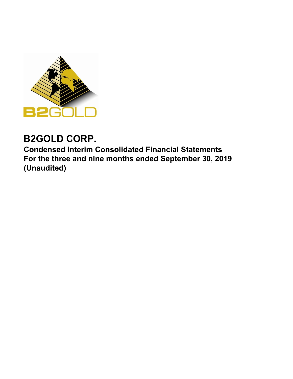

# **B2GOLD CORP.**

**Condensed Interim Consolidated Financial Statements For the three and nine months ended September 30, 2019 (Unaudited)**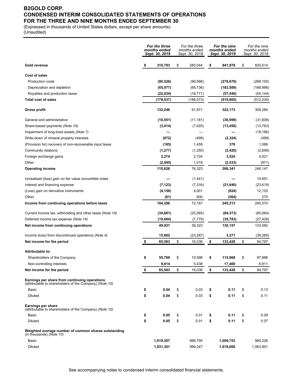### **B2GOLD CORP. CONDENSED INTERIM CONSOLIDATED STATEMENTS OF OPERATIONS FOR THE THREE AND NINE MONTHS ENDED SEPTEMBER 30**

(Expressed in thousands of United States dollars, except per share amounts) (Unaudited)

|                                                                                                          | For the three<br>months ended<br>Sept. 30, 2019 | For the three<br>months ended<br>Sept. 30, 2018 | For the nine<br>months ended<br>Sept. 30, 2019 | For the nine<br>months ended<br>Sept. 30, 2018 |
|----------------------------------------------------------------------------------------------------------|-------------------------------------------------|-------------------------------------------------|------------------------------------------------|------------------------------------------------|
| Gold revenue                                                                                             | \$<br>310,783                                   | \$<br>280,044                                   | \$<br>841,978                                  | \$<br>820,514                                  |
| Cost of sales                                                                                            |                                                 |                                                 |                                                |                                                |
| <b>Production costs</b>                                                                                  | (90, 526)                                       | (99, 566)                                       | (278, 676)                                     | (268,100)                                      |
| Depreciation and depletion                                                                               | (65, 977)                                       | (69, 736)                                       | (183,589)                                      | (188, 986)                                     |
| Royalties and production taxes                                                                           | (22, 034)                                       | (18, 771)                                       | (57, 540)                                      | (55, 144)                                      |
| <b>Total cost of sales</b>                                                                               | (178, 537)                                      | (188, 073)                                      | (519, 805)                                     | (512,230)                                      |
| <b>Gross profit</b>                                                                                      | 132,246                                         | 91,971                                          | 322,173                                        | 308,284                                        |
| General and administrative                                                                               | (10, 551)                                       | (11, 181)                                       | (36,999)                                       | (31,608)                                       |
| Share-based payments (Note 10)                                                                           | (3, 414)                                        | (7,920)                                         | (13, 450)                                      | (13, 763)                                      |
| Impairment of long-lived assets (Note 7)                                                                 |                                                 |                                                 |                                                | (18, 186)                                      |
| Write-down of mineral property interests                                                                 | (972)                                           | (499)                                           | (2, 324)                                       | (499)                                          |
| (Provision for) recovery of non-recoverable input taxes                                                  | (185)                                           | 1,459                                           | 370                                            | 1,068                                          |
| Community relations                                                                                      | (1, 277)                                        | (1,250)                                         | (2, 420)                                       | (2,699)                                        |
| Foreign exchange gains                                                                                   | 2,274                                           | 2,724                                           | 3,524                                          | 4,521                                          |
| Other                                                                                                    | (2, 495)                                        | 1,019                                           | (2, 533)                                       | (971)                                          |
| <b>Operating income</b>                                                                                  | 115,626                                         | 76,323                                          | 268,341                                        | 246,147                                        |
| Unrealised (loss) gain on fair value convertible notes                                                   |                                                 | (1, 441)                                        |                                                | 10,651                                         |
| Interest and financing expense                                                                           | (7, 123)                                        | (7, 316)                                        | (21, 640)                                      | (23, 619)                                      |
| (Loss) gain on derivative instruments                                                                    | (4, 156)                                        | 4,001                                           | (824)                                          | 12,120                                         |
| Other                                                                                                    | (61)                                            | 600                                             | (564)                                          | 275                                            |
| Income from continuing operations before taxes                                                           | 104,286                                         | 72,167                                          | 245,313                                        | 245,574                                        |
| Current income tax, withholding and other taxes (Note 14)                                                | (34, 681)                                       | (25,065)                                        | (84, 373)                                      | (85,064)                                       |
| Deferred income tax expense (Note 14)                                                                    | (19, 684)                                       | (7, 779)                                        | (30, 783)                                      | (27, 428)                                      |
| Net income from continuing operations                                                                    | 49,921                                          | 39,323                                          | 130,157                                        | 133,082                                        |
| Income (loss) from discontinued operations (Note 4)                                                      | 15,662                                          | (23, 287)                                       | 3,271                                          | (38, 285)                                      |
| Net income for the period                                                                                | \$<br>65,583                                    | \$<br>16,036                                    | \$<br>133,428                                  | \$<br>94,797                                   |
| <b>Attributable to:</b>                                                                                  |                                                 |                                                 |                                                |                                                |
| Shareholders of the Company                                                                              | 55,769                                          | 10,598                                          | 115,968                                        | 87,886                                         |
| Non-controlling interests                                                                                | 9,814                                           | 5,438                                           | 17,460                                         | 6,911                                          |
| Net income for the period                                                                                | \$<br>65,583                                    | \$<br>16,036                                    | \$<br>133,428                                  | \$<br>94,797                                   |
| Earnings per share from continuing operations<br>(attributable to shareholders of the Company) (Note 10) |                                                 |                                                 |                                                |                                                |
| Basic                                                                                                    | \$<br>0.04                                      | \$<br>0.03                                      | \$<br>0.11                                     | \$<br>0.13                                     |
| <b>Diluted</b>                                                                                           | \$<br>0.04                                      | \$<br>0.03                                      | \$<br>0.11                                     | \$<br>0.11                                     |
| Earnings per share<br>(attributable to shareholders of the Company) (Note 10)                            |                                                 |                                                 |                                                |                                                |
| Basic                                                                                                    | \$<br>0.05                                      | \$<br>0.01                                      | \$<br>0.11                                     | \$<br>0.09                                     |
| Diluted                                                                                                  | \$<br>0.05                                      | \$<br>0.01                                      | \$<br>0.11                                     | \$<br>0.07                                     |
| Weighted average number of common shares outstanding<br>(in thousands) (Note 10)                         |                                                 |                                                 |                                                |                                                |
| Basic                                                                                                    | 1,019,307                                       | 988,795                                         | 1,009,753                                      | 985,226                                        |
| Diluted                                                                                                  | 1,031,301                                       | 999,347                                         | 1,018,606                                      | 1,063,901                                      |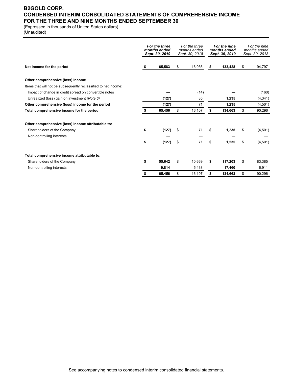### **B2GOLD CORP. CONDENSED INTERIM CONSOLIDATED STATEMENTS OF COMPREHENSIVE INCOME FOR THE THREE AND NINE MONTHS ENDED SEPTEMBER 30**

(Expressed in thousands of United States dollars)

(Unaudited)

|                                                                 |    | For the three<br>months ended<br>Sept. 30, 2019 | For the three<br>months ended<br>Sept. 30, 2018 | For the nine<br>months ended<br>Sept. 30, 2019 | For the nine<br>months ended<br>Sept. 30, 2018 |
|-----------------------------------------------------------------|----|-------------------------------------------------|-------------------------------------------------|------------------------------------------------|------------------------------------------------|
| Net income for the period                                       | \$ | 65,583                                          | \$<br>16,036                                    | \$<br>133,428                                  | \$<br>94,797                                   |
| Other comprehensive (loss) income                               |    |                                                 |                                                 |                                                |                                                |
| Items that will not be subsequently reclassified to net income: |    |                                                 |                                                 |                                                |                                                |
| Impact of change in credit spread on convertible notes          |    |                                                 | (14)                                            |                                                | (160)                                          |
| Unrealized (loss) gain on investment (Note 6)                   |    | (127)                                           | 85                                              | 1,235                                          | (4, 341)                                       |
| Other comprehensive (loss) income for the period                |    | (127)                                           | 71                                              | 1,235                                          | (4,501)                                        |
| Total comprehensive income for the period                       |    | 65,456                                          | \$<br>16,107                                    | \$<br>134,663                                  | \$<br>90,296                                   |
| Other comprehensive (loss) income attributable to:              |    |                                                 |                                                 |                                                |                                                |
| Shareholders of the Company                                     | \$ | (127)                                           | \$<br>71                                        | \$<br>1,235                                    | \$<br>(4,501)                                  |
| Non-controlling interests                                       |    |                                                 |                                                 |                                                |                                                |
|                                                                 | S  | (127)                                           | \$<br>71                                        | \$<br>1,235                                    | \$<br>(4,501)                                  |
| Total comprehensive income attributable to:                     |    |                                                 |                                                 |                                                |                                                |
| Shareholders of the Company                                     | \$ | 55,642                                          | \$<br>10.669                                    | \$<br>117,203                                  | \$<br>83,385                                   |
| Non-controlling interests                                       |    | 9,814                                           | 5,438                                           | 17,460                                         | 6,911                                          |
|                                                                 | \$ | 65.456                                          | \$<br>16,107                                    | \$<br>134.663                                  | \$<br>90,296                                   |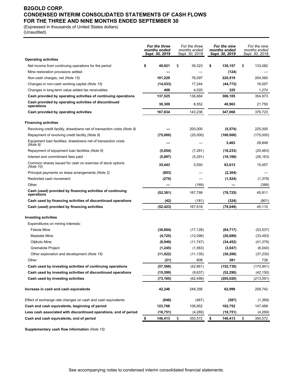### **B2GOLD CORP. CONDENSED INTERIM CONSOLIDATED STATEMENTS OF CASH FLOWS FOR THE THREE AND NINE MONTHS ENDED SEPTEMBER 30**

(Expressed in thousands of United States dollars)

(Unaudited)

|                                                                           | For the three<br>months ended<br>Sept. 30, 2019 | For the three<br>months ended<br>Sept. 30, 2018 | For the nine<br>months ended<br>Sept. 30, 2019 | For the nine<br>months ended<br>Sept. 30, 2018 |
|---------------------------------------------------------------------------|-------------------------------------------------|-------------------------------------------------|------------------------------------------------|------------------------------------------------|
| <b>Operating activities</b>                                               |                                                 |                                                 |                                                |                                                |
| Net income from continuing operations for the period                      | \$<br>49,921                                    | \$<br>39,323                                    | \$<br>130,157                                  | \$<br>133,082                                  |
| Mine restoration provisions settled                                       |                                                 |                                                 | (124)                                          |                                                |
| Non-cash charges, net (Note 15)                                           | 101,229                                         | 76,097                                          | 220,519                                        | 204,560                                        |
| Changes in non-cash working capital (Note 15)                             | (14, 033)                                       | 17,244                                          | (44, 772)                                      | 16,057                                         |
| Changes in long-term value added tax receivables                          | 408                                             | 4,020                                           | 325                                            | 1,274                                          |
| Cash provided by operating activities of continuing operations            | 137,525                                         | 136,684                                         | 306,105                                        | 354,973                                        |
| Cash provided by operating activities of discontinued<br>operations       | 30,309                                          | 6,552                                           | 40,963                                         | 21,750                                         |
| Cash provided by operating activities                                     | 167,834                                         | 143,236                                         | 347,068                                        | 376,723                                        |
| <b>Financing activities</b>                                               |                                                 |                                                 |                                                |                                                |
| Revolving credit facility, drawdowns net of transaction costs (Note 9)    |                                                 | 200,000                                         | (5, 574)                                       | 225,000                                        |
| Repayment of revolving credit facility (Note 9)                           | (75,000)                                        | (25,000)                                        | (100,000)                                      | (175,000)                                      |
| Equipment loan facilities, drawdowns net of transaction costs<br>(Note 9) |                                                 |                                                 | 3,463                                          | 28,848                                         |
| Repayment of equipment loan facilities (Note 9)                           | (5, 854)                                        | (7, 291)                                        | (18, 233)                                      | (20, 463)                                      |
| Interest and commitment fees paid                                         | (5,897)                                         | (5,291)                                         | (18, 166)                                      | (26,163)                                       |
| Common shares issued for cash on exercise of stock options<br>(Note 10)   | 35,443                                          | 5,550                                           | 63,613                                         | 15,457                                         |
| Principal payments on lease arrangements (Note 2)                         | (803)                                           |                                                 | (2, 304)                                       |                                                |
| Restricted cash movement                                                  | (270)                                           |                                                 | (1,524)                                        | (1, 379)                                       |
| Other                                                                     |                                                 | (169)                                           |                                                | (389)                                          |
| Cash (used) provided by financing activities of continuing<br>operations  | (52, 381)                                       | 167,799                                         | (78, 725)                                      | 45,911                                         |
| Cash used by financing activities of discontinued operations              | (42)                                            | (181)                                           | (324)                                          | (801)                                          |
| Cash (used) provided by financing activities                              | (52, 423)                                       | 167,618                                         | (79, 049)                                      | 45,110                                         |
| <b>Investing activities</b>                                               |                                                 |                                                 |                                                |                                                |
| Expenditures on mining interests:                                         |                                                 |                                                 |                                                |                                                |
| Fekola Mine                                                               | (30, 604)                                       | (17, 128)                                       | (64, 717)                                      | (53, 537)                                      |
| Masbate Mine                                                              | (4, 725)                                        | (12,096)                                        | (20, 689)                                      | (33, 493)                                      |
| Otjikoto Mine                                                             | (9,949)                                         | (11, 747)                                       | (34, 452)                                      | (41, 379)                                      |
| <b>Gramalote Project</b>                                                  | (1, 245)                                        | (1, 563)                                        | (3,047)                                        | (6,040)                                        |
| Other exploration and development (Note 15)                               | (11, 022)                                       | (11, 135)                                       | (30, 206)                                      | (37, 230)                                      |
| Other                                                                     | (21)                                            | 808                                             | 381                                            | 738                                            |
| Cash used by investing activities of continuing operations                | (57, 566)                                       | (52, 861)                                       | (152, 730)                                     | (170, 941)                                     |
| Cash used by investing activities of discontinued operations              | (15, 599)                                       | (9,637)                                         | (52, 290)                                      | (42, 150)                                      |
| Cash used by investing activities                                         | (73, 165)                                       | (62, 498)                                       | (205, 020)                                     | (213,091)                                      |
| Increase in cash and cash equivalents                                     | 42,246                                          | 248,356                                         | 62,999                                         | 208,742                                        |
| Effect of exchange rate changes on cash and cash equivalents              | (848)                                           | (467)                                           | (587)                                          | (1,369)                                        |
| Cash and cash equivalents, beginning of period                            | 123,766                                         | 106,952                                         | 102,752                                        | 147,468                                        |
| Less cash associated with discontinued operations, end of period          | (18, 751)                                       | (4,269)                                         | (18, 751)                                      | (4,269)                                        |
| Cash and cash equivalents, end of period                                  | \$<br>146,413                                   | \$<br>350,572                                   | \$<br>146,413                                  | \$<br>350,572                                  |

**Supplementary cash flow information** *(Note 15)*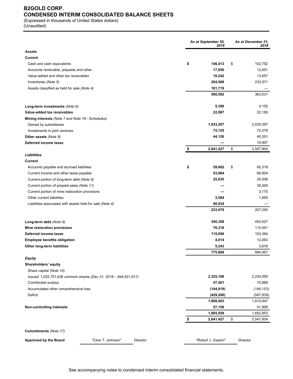# **B2GOLD CORP. CONDENSED INTERIM CONSOLIDATED BALANCE SHEETS**

(Expressed in thousands of United States dollars) (Unaudited)

|                                                                  | As at September 30, | As at December 31.<br>2018 |    |            |
|------------------------------------------------------------------|---------------------|----------------------------|----|------------|
| <b>Assets</b>                                                    |                     | 2019                       |    |            |
| Current                                                          |                     |                            |    |            |
| Cash and cash equivalents                                        | \$                  | 146,413                    | \$ | 102,752    |
| Accounts receivable, prepaids and other                          |                     | 17,650                     |    | 12,651     |
| Value-added and other tax receivables                            |                     | 10,242                     |    | 13,657     |
| Inventories (Note 5)                                             |                     | 204,568                    |    | 233,971    |
| Assets classified as held for sale (Note 4)                      |                     | 181,719                    |    |            |
|                                                                  |                     | 560,592                    |    | 363,031    |
| Long-term investments (Note 6)                                   |                     | 5,390                      |    | 4,155      |
| Value-added tax receivables                                      |                     | 22,987                     |    | 22,185     |
| Mining interests (Note 7 and Note 18 - Schedules)                |                     |                            |    |            |
| Owned by subsidiaries                                            |                     | 1,933,207                  |    | 2,035,097  |
| Investments in joint ventures                                    |                     | 75,125                     |    | 72,078     |
| Other assets (Note 8)                                            |                     | 44,126                     |    | 40,351     |
| Deferred income taxes                                            |                     |                            |    | 10,907     |
|                                                                  | \$                  | 2,641,427                  | \$ | 2,547,804  |
| Liabilities                                                      |                     |                            |    |            |
| <b>Current</b>                                                   |                     |                            |    |            |
| Accounts payable and accrued liabilities                         | \$                  | 59,662                     | \$ | 80,318     |
| Current income and other taxes payable                           |                     | 53,964                     |    | 66,904     |
| Current portion of long-term debt (Note 9)                       |                     | 25,835                     |    | 25,008     |
| Current portion of prepaid sales (Note 11)                       |                     |                            |    | 30,000     |
| Current portion of mine restoration provisions                   |                     |                            |    | 3,170      |
| Other current liabilities                                        |                     | 3,584                      |    | 1,850      |
| Liabilities associated with assets held for sale (Note 4)        |                     | 90,934                     |    |            |
|                                                                  |                     | 233,979                    |    | 207,250    |
| Long-term debt (Note 9)                                          |                     | 340,358                    |    | 454,527    |
| Mine restoration provisions                                      |                     | 76,318                     |    | 114,051    |
| Deferred income taxes                                            |                     | 115,956                    |    | 103,384    |
| <b>Employee benefits obligation</b>                              |                     | 4,014                      |    | 12,063     |
| Other long-term liabilities                                      |                     | 5,243                      |    | 3,676      |
|                                                                  |                     | 775,868                    |    | 894,951    |
| Equity                                                           |                     |                            |    |            |
| Shareholders' equity                                             |                     |                            |    |            |
| Share capital (Note 10)                                          |                     |                            |    |            |
| Issued: 1,025,751,636 common shares (Dec 31, 2018 - 994,621,917) |                     | 2,325,188                  |    | 2,234,050  |
| Contributed surplus                                              |                     | 57,401                     |    | 70,889     |
| Accumulated other comprehensive loss                             |                     | (144, 918)                 |    | (146, 153) |
| Deficit                                                          |                     | (429, 268)                 |    | (547, 839) |
|                                                                  |                     | 1,808,403                  |    | 1,610,947  |
| <b>Non-controlling interests</b>                                 |                     | 57,156                     |    | 41,906     |
|                                                                  |                     | 1,865,559                  |    | 1,652,853  |
|                                                                  | \$                  | 2,641,427                  | \$ | 2,547,804  |
| Commitments (Note 17)                                            |                     |                            |    |            |
| "Clive T. Johnson"<br>Approved by the Board<br>Director          |                     | "Robert J. Gayton"         |    | Director   |
|                                                                  |                     |                            |    |            |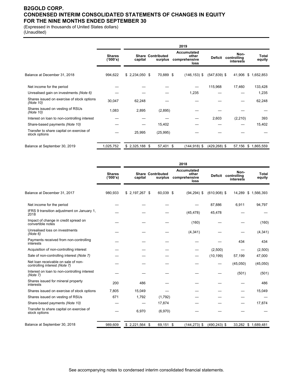### **B2GOLD CORP. CONDENSED INTERIM CONSOLIDATED STATEMENTS OF CHANGES IN EQUITY FOR THE NINE MONTHS ENDED SEPTEMBER 30**

(Expressed in thousands of United States dollars)

(Unaudited)

|                                                           |                           |                 |                                     | 2019                                          |                 |                                  |                 |
|-----------------------------------------------------------|---------------------------|-----------------|-------------------------------------|-----------------------------------------------|-----------------|----------------------------------|-----------------|
|                                                           | <b>Shares</b><br>('000's) | capital         | <b>Share Contributed</b><br>surplus | Accumulated<br>other<br>comprehensive<br>loss | Deficit         | Non-<br>controlling<br>interests | Total<br>equity |
| Balance at December 31, 2018                              | 994,622                   | $$2,234,050$ \$ | 70,889 \$                           | $(146, 153)$ \$                               | $(547, 839)$ \$ | 41,906                           | \$1,652,853     |
| Net income for the period                                 |                           |                 |                                     |                                               | 115,968         | 17,460                           | 133,428         |
| Unrealised gain on investments (Note 6)                   |                           |                 |                                     | 1,235                                         |                 |                                  | 1,235           |
| Shares issued on exercise of stock options<br>(Note 10)   | 30,047                    | 62,248          |                                     |                                               |                 |                                  | 62,248          |
| Shares issued on vesting of RSUs<br>(Note 10)             | 1,083                     | 2,895           | (2,895)                             |                                               |                 |                                  |                 |
| Interest on loan to non-controlling interest              |                           |                 |                                     |                                               | 2,603           | (2, 210)                         | 393             |
| Share-based payments (Note 10)                            |                           |                 | 15,402                              |                                               |                 |                                  | 15,402          |
| Transfer to share capital on exercise of<br>stock options |                           | 25,995          | (25, 995)                           |                                               |                 |                                  |                 |
| Balance at September 30, 2019                             | 1,025,752                 | $$2,325,188$ \$ | 57,401 \$                           | $(144, 918)$ \$                               | $(429, 268)$ \$ | 57,156                           | \$1,865,559     |

|                                                                      |                           | 2018            |                                     |                                               |                 |                                          |                     |
|----------------------------------------------------------------------|---------------------------|-----------------|-------------------------------------|-----------------------------------------------|-----------------|------------------------------------------|---------------------|
|                                                                      | <b>Shares</b><br>('000's) | capital         | <b>Share Contributed</b><br>surplus | Accumulated<br>other<br>comprehensive<br>loss |                 | Non-<br>Deficit controlling<br>interests | Total<br>equity     |
| Balance at December 31, 2017                                         | 980,933                   | $$2,197,267$ \$ | 60,039 \$                           | $(94, 294)$ \$                                | $(610,908)$ \$  | 14.289                                   | \$1,566,393         |
| Net income for the period                                            |                           |                 |                                     |                                               | 87,886          | 6,911                                    | 94,797              |
| IFRS 9 transition adjustment on January 1,<br>2018                   |                           |                 |                                     | (45, 478)                                     | 45,478          |                                          |                     |
| Impact of change in credit spread on<br>convertible notes            |                           |                 |                                     | (160)                                         |                 |                                          | (160)               |
| Unrealised loss on investments<br>(Note 6)                           |                           |                 |                                     | (4, 341)                                      |                 |                                          | (4, 341)            |
| Payments received from non-controlling<br>interests                  |                           |                 |                                     |                                               |                 | 434                                      | 434                 |
| Acquisition of non-controlling interest                              |                           |                 |                                     |                                               | (2,500)         |                                          | (2,500)             |
| Sale of non-controlling interest (Note 7)                            |                           |                 |                                     |                                               | (10, 199)       | 57,199                                   | 47,000              |
| Net loan receivable on sale of non-<br>controlling interest (Note 7) |                           |                 |                                     |                                               |                 | (45,050)                                 | (45,050)            |
| Interest on loan to non-controlling interest<br>(Note 7)             |                           |                 |                                     |                                               |                 | (501)                                    | (501)               |
| Shares issued for mineral property<br>interests                      | 200                       | 486             |                                     |                                               |                 |                                          | 486                 |
| Shares issued on exercise of stock options                           | 7.805                     | 15,049          |                                     |                                               |                 |                                          | 15,049              |
| Shares issued on vesting of RSUs                                     | 671                       | 1,792           | (1,792)                             |                                               |                 |                                          |                     |
| Share-based payments (Note 10)                                       |                           |                 | 17,874                              |                                               |                 |                                          | 17,874              |
| Transfer to share capital on exercise of<br>stock options            |                           | 6,970           | (6,970)                             |                                               |                 |                                          |                     |
| Balance at September 30, 2018                                        | 989,609                   | $$2,221,564$ \$ | 69,151 \$                           | $(144, 273)$ \$                               | $(490, 243)$ \$ |                                          | 33,282 \$ 1,689,481 |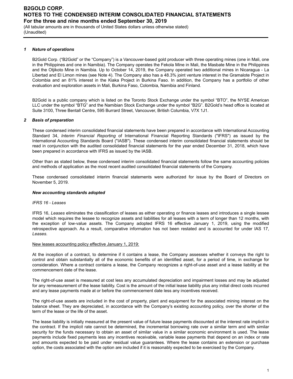(All tabular amounts are in thousands of United States dollars unless otherwise stated) (Unaudited)

#### *1 Nature of operations*

B2Gold Corp. ("B2Gold" or the "Company") is a Vancouver-based gold producer with three operating mines (one in Mali, one in the Philippines and one in Namibia). The Company operates the Fekola Mine in Mali, the Masbate Mine in the Philippines and the Otjikoto Mine in Namibia. Up to October 14, 2019, the Company operated two additional mines in Nicaragua - La Libertad and El Limon mines (see Note 4). The Company also has a 48.3% joint venture interest in the Gramalote Project in Colombia and an 81% interest in the Kiaka Project in Burkina Faso. In addition, the Company has a portfolio of other evaluation and exploration assets in Mali, Burkina Faso, Colombia, Namibia and Finland.

B2Gold is a public company which is listed on the Toronto Stock Exchange under the symbol "BTO", the NYSE American LLC under the symbol "BTG" and the Namibian Stock Exchange under the symbol "B2G". B2Gold's head office is located at Suite 3100, Three Bentall Centre, 595 Burrard Street, Vancouver, British Columbia, V7X 1J1.

#### *2 Basis of preparation*

These condensed interim consolidated financial statements have been prepared in accordance with International Accounting Standard 34, *Interim Financial Reporting* of International Financial Reporting Standards ("IFRS") as issued by the International Accounting Standards Board ("IASB"). These condensed interim consolidated financial statements should be read in conjunction with the audited consolidated financial statements for the year ended December 31, 2018, which have been prepared in accordance with IFRS as issued by the IASB.

Other than as stated below, these condensed interim consolidated financial statements follow the same accounting policies and methods of application as the most recent audited consolidated financial statements of the Company.

These condensed consolidated interim financial statements were authorized for issue by the Board of Directors on November 5, 2019.

#### *New accounting standards adopted*

#### *IFRS 16 - Leases*

IFRS 16, *Leases* eliminates the classification of leases as either operating or finance leases and introduces a single lessee model which requires the lessee to recognize assets and liabilities for all leases with a term of longer than 12 months, with the exception of low-value assets. The Company adopted IFRS 16 effective January 1, 2019, using the modified retrospective approach. As a result, comparative information has not been restated and is accounted for under IAS 17, *Leases*.

#### New leases accounting policy effective January 1, 2019:

At the inception of a contract, to determine if it contains a lease, the Company assesses whether it conveys the right to control and obtain substantially all of the economic benefits of an identified asset, for a period of time, in exchange for consideration. Where a contract contains a lease, the Company recognizes a right-of-use asset and a lease liability at the commencement date of the lease.

The right-of-use asset is measured at cost less any accumulated depreciation and impairment losses and may be adjusted for any remeasurement of the lease liability. Cost is the amount of the initial lease liability plus any initial direct costs incurred and any lease payments made at or before the commencement date less any incentives received.

The right-of-use assets are included in the cost of property, plant and equipment for the associated mining interest on the balance sheet. They are depreciated, in accordance with the Company's existing accounting policy, over the shorter of the term of the lease or the life of the asset.

The lease liability is initially measured at the present value of future lease payments discounted at the interest rate implicit in the contract. If the implicit rate cannot be determined, the incremental borrowing rate over a similar term and with similar security for the funds necessary to obtain an asset of similar value in a similar economic environment is used. The lease payments include fixed payments less any incentives receivable, variable lease payments that depend on an index or rate and amounts expected to be paid under residual value guarantees. Where the lease contains an extension or purchase option, the costs associated with the option are included if it is reasonably expected to be exercised by the Company.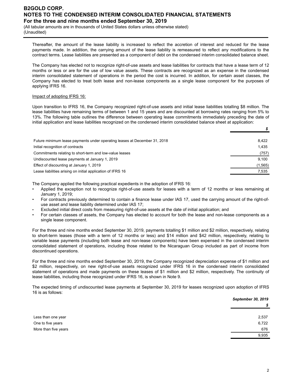(All tabular amounts are in thousands of United States dollars unless otherwise stated) (Unaudited)

Thereafter, the amount of the lease liability is increased to reflect the accretion of interest and reduced for the lease payments made. In addition, the carrying amount of the lease liability is remeasured to reflect any modifications to the contract terms. Lease liabilities are presented as a component of debt on the condensed interim consolidated balance sheet.

The Company has elected not to recognize right-of-use assets and lease liabilities for contracts that have a lease term of 12 months or less or are for the use of low value assets. These contracts are recognized as an expense in the condensed interim consolidated statement of operations in the period the cost is incurred. In addition, for certain asset classes, the Company has elected to treat both lease and non-lease components as a single lease component for the purposes of applying IFRS 16.

#### Impact of adopting IFRS 16:

Upon transition to IFRS 16, the Company recognized right-of-use assets and initial lease liabilities totalling \$8 million. The lease liabilities have remaining terms of between 1 and 15 years and are discounted at borrowing rates ranging from 5% to 13%. The following table outlines the difference between operating lease commitments immediately preceding the date of initial application and lease liabilities recognized on the condensed interim consolidated balance sheet at application:

| Future minimum lease payments under operating leases at December 31, 2018 | 8.422    |
|---------------------------------------------------------------------------|----------|
| Initial recognition of contracts                                          | 1.435    |
| Commitments relating to short-term and low-value leases                   | (757)    |
| Undiscounted lease payments at January 1, 2019                            | 9.100    |
| Effect of discounting at January 1, 2019                                  | (1, 565) |
| Lease liabilities arising on initial application of IFRS 16               | 7,535    |
|                                                                           |          |

The Company applied the following practical expedients in the adoption of IFRS 16:

- Applied the exception not to recognize right-of-use assets for leases with a term of 12 months or less remaining at January 1, 2019;
- For contracts previously determined to contain a finance lease under IAS 17, used the carrying amount of the right-ofuse asset and lease liability determined under IAS 17;
- Excluded initial direct costs from measuring right-of-use assets at the date of initial application; and
- For certain classes of assets, the Company has elected to account for both the lease and non-lease components as a single lease component.

For the three and nine months ended September 30, 2019, payments totalling \$1 million and \$2 million, respectively, relating to short-term leases (those with a term of 12 months or less) and \$14 million and \$42 million, respectively, relating to variable lease payments (including both lease and non-lease components) have been expensed in the condensed interim consolidated statement of operations, including those related to the Nicaraguan Group included as part of income from discontinued operations.

For the three and nine months ended September 30, 2019, the Company recognized depreciation expense of \$1 million and \$2 million, respectively, on new right-of-use assets recognized under IFRS 16 in the condensed interim consolidated statement of operations and made payments on these leases of \$1 million and \$2 million, respectively. The continuity of lease liabilities, including those recognized under IFRS 16, is shown in Note 9.

The expected timing of undiscounted lease payments at September 30, 2019 for leases recognized upon adoption of IFRS 16 is as follows:

|                      | <b>September 30, 2019</b> |
|----------------------|---------------------------|
|                      | \$                        |
| Less than one year   | 2,537                     |
| One to five years    | 6,722                     |
| More than five years | 676                       |
|                      | 9,935                     |

*\$*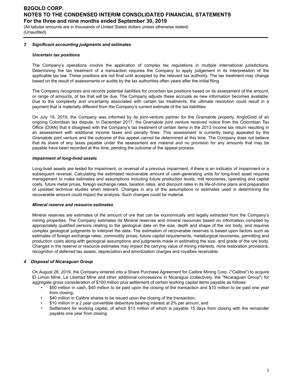(All tabular amounts are in thousands of United States dollars unless otherwise stated) (Unaudited)

### *3 Significant accounting judgments and estimates*

### *Uncertain tax positions*

The Company's operations involve the application of complex tax regulations in multiple international jurisdictions. Determining the tax treatment of a transaction requires the Company to apply judgement in its interpretation of the applicable tax law. These positions are not final until accepted by the relevant tax authority. The tax treatment may change based on the result of assessments or audits by the tax authorities often years after the initial filing.

The Company recognizes and records potential liabilities for uncertain tax positions based on its assessment of the amount, or range of amounts, of tax that will be due. The Company adjusts these accruals as new information becomes available. Due to the complexity and uncertainty associated with certain tax treatments, the ultimate resolution could result in a payment that is materially different from the Company's current estimate of the tax liabilities.

On July 19, 2019, the Company was informed by its joint-venture partner for the Gramalote property, AngloGold of an ongoing Colombian tax dispute. In December 2017, the Gramalote joint venture received notice from the Colombian Tax Office (DIAN) that it disagreed with the Company's tax treatment of certain items in the 2013 income tax return resulting in an assessment with additional income taxes and penalty fines. This assessment is currently being appealed by the Gramalote joint venture and the outcome of this appeal cannot be determined at this time. The Company does not believe that its share of any taxes payable under the assessment are material and no provision for any amounts that may be payable have been recorded at this time, pending the outcome of the appeal process.

### *Impairment of long-lived assets*

Long-lived assets are tested for impairment, or reversal of a previous impairment, if there is an indicator of impairment or a subsequent reversal. Calculating the estimated recoverable amount of cash-generating units for long-lived asset requires management to make estimates and assumptions including future production levels, mill recoveries, operating and capital costs, future metal prices, foreign exchange rates, taxation rates, and discount rates in its life-of-mine plans and preparation of updated technical studies when relevant. Changes in any of the assumptions or estimates used in determining the recoverable amount could impact the analysis. Such changes could be material.

### *Mineral reserve and resource estimates*

Mineral reserves are estimates of the amount of ore that can be economically and legally extracted from the Company's mining properties. The Company estimates its Mineral reserves and mineral resources based on information compiled by appropriately qualified persons relating to the geological data on the size, depth and shape of the ore body, and requires complex geological judgments to interpret the data. The estimation of recoverable reserves is based upon factors such as estimates of foreign exchange rates, commodity prices, future capital requirements, metallurgical recoveries, permitting and production costs along with geological assumptions and judgments made in estimating the size, and grade of the ore body. Changes in the reserve or resource estimates may impact the carrying value of mining interests, mine restoration provisions, recognition of deferred tax assets, depreciation and amortization charges and royalties receivable.

### *4 Disposal of Nicaraguan Group*

On August 28, 2019, the Company entered into a Share Purchase Agreement for Calibre Mining Corp. ("Calibre") to acquire El Limon Mine, La Libertad Mine and other additional concessions in Nicaragua (collectively, the "Nicaraguan Group") for aggregate gross consideration of \$100 million plus settlement of certain working capital items payable as follows:

- \$50 million in cash, \$40 million to be paid upon the closing of the transaction and \$10 million to be paid one year from closing;
- \$40 million in Calibre shares to be issued upon the closing of the transaction;
- \$10 million in a 2 year convertible debenture bearing interest at 2% per annum; and
- Settlement for working capital, of which \$13 million of which is payable 15 days from closing with the remainder payable one year from closing.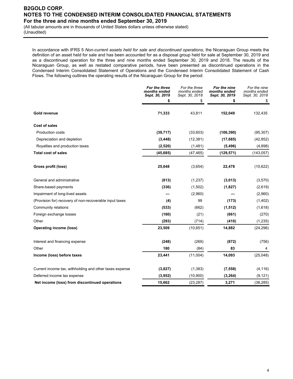(All tabular amounts are in thousands of United States dollars unless otherwise stated) (Unaudited)

In accordance with IFRS 5 *Non-current assets held for sale and discontinued operations*, the Nicaraguan Group meets the definition of an asset held for sale and has been accounted for as a disposal group held for sale at September 30, 2019 and as a discontinued operation for the three and nine months ended September 30, 2019 and 2018. The results of the Nicaraguan Group, as well as restated comparative periods, have been presented as discontinued operations in the Condensed Interim Consolidated Statement of Operations and the Condensed Interim Consolidated Statement of Cash Flows. The following outlines the operating results of the Nicaraguan Group for the period:

|                                                         | For the three<br>months ended<br>Sept. 30, 2019 | For the three<br>months ended<br>Sept. 30, 2018 | For the nine<br>months ended<br>Sept. 30, 2019 | For the nine<br>months ended<br>Sept. 30, 2018 |
|---------------------------------------------------------|-------------------------------------------------|-------------------------------------------------|------------------------------------------------|------------------------------------------------|
|                                                         | \$                                              | \$                                              | \$                                             | \$                                             |
| Gold revenue                                            | 71,333                                          | 43,811                                          | 152,049                                        | 132,435                                        |
| <b>Cost of sales</b>                                    |                                                 |                                                 |                                                |                                                |
| Production costs                                        | (39, 717)                                       | (33,603)                                        | (106, 390)                                     | (95, 307)                                      |
| Depreciation and depletion                              | (3, 448)                                        | (12, 381)                                       | (17, 685)                                      | (42, 852)                                      |
| Royalties and production taxes                          | (2,520)                                         | (1,481)                                         | (5, 496)                                       | (4,898)                                        |
| <b>Total cost of sales</b>                              | (45, 685)                                       | (47, 465)                                       | (129, 571)                                     | (143, 057)                                     |
| Gross profit (loss)                                     | 25,648                                          | (3,654)                                         | 22,478                                         | (10,622)                                       |
| General and administrative                              | (813)                                           | (1, 237)                                        | (3,013)                                        | (3,570)                                        |
| Share-based payments                                    | (336)                                           | (1,502)                                         | (1,827)                                        | (2,619)                                        |
| Impairment of long-lived assets                         |                                                 | (2,960)                                         |                                                | (2,960)                                        |
| (Provision for) recovery of non-recoverable input taxes | (4)                                             | 99                                              | (173)                                          | (1,402)                                        |
| Community relations                                     | (533)                                           | (662)                                           | (1, 512)                                       | (1,618)                                        |
| Foreign exchange losses                                 | (160)                                           | (21)                                            | (661)                                          | (270)                                          |
| Other                                                   | (293)                                           | (714)                                           | (410)                                          | (1,235)                                        |
| <b>Operating income (loss)</b>                          | 23,509                                          | (10, 651)                                       | 14,882                                         | (24, 296)                                      |
| Interest and financing expense                          | (248)                                           | (269)                                           | (872)                                          | (756)                                          |
| Other                                                   | 180                                             | (84)                                            | 83                                             | 4                                              |
| Income (loss) before taxes                              | 23,441                                          | (11,004)                                        | 14,093                                         | (25,048)                                       |
| Current income tax, withholding and other taxes expense | (3,827)                                         | (1, 383)                                        | (7, 558)                                       | (4, 116)                                       |
| Deferred income tax expense                             | (3,952)                                         | (10, 900)                                       | (3, 264)                                       | (9, 121)                                       |
| Net income (loss) from discontinued operations          | 15,662                                          | (23, 287)                                       | 3,271                                          | (38, 285)                                      |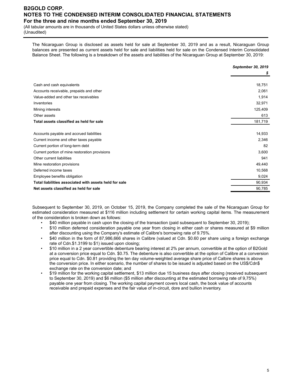(All tabular amounts are in thousands of United States dollars unless otherwise stated) (Unaudited)

The Nicaraguan Group is disclosed as assets held for sale at September 30, 2019 and as a result, Nicaraguan Group balances are presented as current assets held for sale and liabilities held for sale on the Condensed Interim Consolidated Balance Sheet. The following is a breakdown of the assets and liabilities of the Nicaraguan Group at September 30, 2019:

|                                                        | September 30, 2019 |
|--------------------------------------------------------|--------------------|
|                                                        | S                  |
|                                                        |                    |
| Cash and cash equivalents                              | 18,751             |
| Accounts receivable, prepaids and other                | 2,061              |
| Value-added and other tax receivables                  | 1,914              |
| Inventories                                            | 32,971             |
| Mining interests                                       | 125,409            |
| Other assets                                           | 613                |
| Total assets classified as held for sale               | 181,719            |
|                                                        |                    |
| Accounts payable and accrued liabilities               | 14,933             |
| Current income and other taxes payable                 | 2,346              |
| Current portion of long-term debt                      | 82                 |
| Current portion of mine restoration provisions         | 3,600              |
| Other current liabilities                              | 941                |
| Mine restoration provisions                            | 49,440             |
| Deferred income taxes                                  | 10,568             |
| Employee benefits obligation                           | 9,024              |
| Total liabilities associated with assets held for sale | 90,934             |
| Net assets classified as held for sale                 | 90,785             |
|                                                        |                    |

Subsequent to September 30, 2019, on October 15, 2019, the Company completed the sale of the Nicaraguan Group for estimated consideration measured at \$116 million including settlement for certain working capital items. The measurement of the consideration is broken down as follows:

- \$40 million payable in cash upon the closing of the transaction (paid subsequent to September 30, 2019);
- \$10 million deferred consideration payable one year from closing in either cash or shares measured at \$9 million after discounting using the Company's estimate of Calibre's borrowing rate of 9.75%.
- \$40 million in the form of 87,986,666 shares in Calibre (valued at Cdn. \$0.60 per share using a foreign exchange rate of Cdn.\$1.3199 to \$1) issued upon closing;
- \$10 million in a 2 year convertible debenture bearing interest at 2% per annum, convertible at the option of B2Gold at a conversion price equal to Cdn. \$0.75. The debenture is also convertible at the option of Calibre at a conversion price equal to Cdn. \$0.81 providing the ten day volume-weighted average share price of Calbire shares is above the conversion price. In either scenario, the number of shares to be issued is adjusted based on the US\$/Cdn\$ exchange rate on the conversion date; and
- \$19 million for the working capital settlement, \$13 million due 15 business days after closing (received subsequent to September 30, 2019) and \$6 million (\$5 million after discounting at the estimated borrowing rate of 9,75%) payable one year from closing. The working capital payment covers local cash, the book value of accounts receivable and prepaid expenses and the fair value of in-circuit, dore and bullion inventory.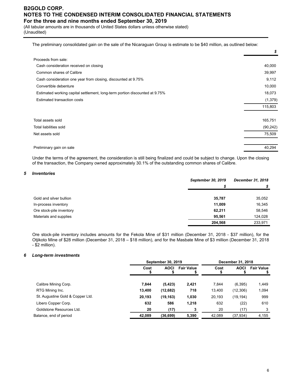(All tabular amounts are in thousands of United States dollars unless otherwise stated) (Unaudited)

The preliminary consolidated gain on the sale of the Nicaraguan Group is estimate to be \$40 million, as outlined below:

|                                                                             | \$        |
|-----------------------------------------------------------------------------|-----------|
| Proceeds from sale:                                                         |           |
| Cash consideration received on closing                                      | 40,000    |
| Common shares of Calibre                                                    | 39,997    |
| Cash consideration one year from closing, discounted at 9.75%               | 9,112     |
| Convertible debenture                                                       | 10,000    |
| Estimated working capital settlement, long-term portion discounted at 9.75% | 18,073    |
| <b>Estimated transaction costs</b>                                          | (1, 379)  |
|                                                                             | 115,803   |
| Total assets sold                                                           | 165,751   |
| Total liabilities sold                                                      | (90, 242) |
| Net assets sold                                                             | 75,509    |
| Preliminary gain on sale                                                    | 40,294    |
|                                                                             |           |

Under the terms of the agreement, the consideration is still being finalized and could be subject to change. Upon the closing of the transaction, the Company owned approximately 30.1% of the outstanding common shares of Calibre.

### *5 Inventories*

|                          | <b>September 30, 2019</b> | December 31, 2018 |  |
|--------------------------|---------------------------|-------------------|--|
|                          | S                         |                   |  |
|                          |                           |                   |  |
| Gold and silver bullion  | 35,787                    | 35,052            |  |
| In-process inventory     | 11,009                    | 16,345            |  |
| Ore stock-pile inventory | 62,211                    | 58,546            |  |
| Materials and supplies   | 95.561                    | 124,028           |  |
|                          | 204,568                   | 233,971           |  |

Ore stock-pile inventory includes amounts for the Fekola Mine of \$31 million (December 31, 2018 - \$37 million), for the Otjikoto Mine of \$28 million (December 31, 2018 – \$18 million), and for the Masbate Mine of \$3 million (December 31, 2018 - \$2 million).

#### *6 Long-term investments*

|                                  |        | September 30, 2019 |                   | December 31, 2018 |             |                   |
|----------------------------------|--------|--------------------|-------------------|-------------------|-------------|-------------------|
|                                  | Cost   | <b>AOCI</b>        | <b>Fair Value</b> | Cost              | <b>AOCI</b> | <b>Fair Value</b> |
| Calibre Mining Corp.             | 7.844  | (5, 423)           | 2,421             | 7.844             | (6, 395)    | 1,449             |
| RTG Mining Inc.                  | 13,400 | (12,682)           | 718               | 13,400            | (12,306)    | 1,094             |
| St. Augustine Gold & Copper Ltd. | 20,193 | (19,163)           | 1,030             | 20,193            | (19, 194)   | 999               |
| Libero Copper Corp.              | 632    | 586                | 1,218             | 632               | (22)        | 610               |
| Goldstone Resources Ltd.         | 20     | (17)               |                   | 20                | (17)        |                   |
| Balance, end of period           | 42,089 | (36, 699)          | 5,390             | 42,089            | (37, 934)   | 4,155             |
|                                  |        |                    |                   |                   |             |                   |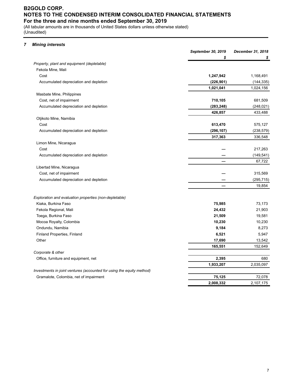(All tabular amounts are in thousands of United States dollars unless otherwise stated) (Unaudited)

### *7 Mining interests*

|                                                                       | September 30, 2019 | December 31, 2018 |
|-----------------------------------------------------------------------|--------------------|-------------------|
|                                                                       | \$                 |                   |
| Property, plant and equipment (depletable)                            |                    |                   |
| Fekola Mine, Mali                                                     |                    |                   |
| Cost                                                                  | 1,247,942          | 1,168,491         |
| Accumulated depreciation and depletion                                | (226, 901)         | (144, 335)        |
|                                                                       | 1,021,041          | 1,024,156         |
| Masbate Mine, Philippines                                             |                    |                   |
| Cost, net of impairment                                               | 710,105            | 681,509           |
| Accumulated depreciation and depletion                                | (283, 248)         | (248, 021)        |
|                                                                       | 426,857            | 433,488           |
| Otjikoto Mine, Namibia                                                |                    |                   |
| Cost                                                                  | 613,470            | 575,127           |
| Accumulated depreciation and depletion                                | (296, 107)         | (238, 579)        |
|                                                                       | 317,363            | 336,548           |
| Limon Mine, Nicaragua                                                 |                    |                   |
| Cost                                                                  |                    | 217,263           |
| Accumulated depreciation and depletion                                |                    | (149, 541)        |
|                                                                       |                    | 67,722            |
| Libertad Mine, Nicaragua                                              |                    |                   |
| Cost, net of impairment                                               |                    | 315,569           |
| Accumulated depreciation and depletion                                |                    | (295, 715)        |
|                                                                       |                    | 19,854            |
| Exploration and evaluation properties (non-depletable)                |                    |                   |
| Kiaka, Burkina Faso                                                   | 75,985             | 73,173            |
| Fekola Regional, Mali                                                 | 24,432             | 21,903            |
| Toega, Burkina Faso                                                   | 21,509             | 19,581            |
| Mocoa Royalty, Colombia                                               | 10,230             | 10,230            |
| Ondundu, Namibia                                                      | 9,184              | 8,273             |
| Finland Properties, Finland                                           | 6,521              | 5,947             |
| Other                                                                 | 17,690             | 13,542            |
|                                                                       | 165,551            | 152,649           |
| Corporate & other                                                     |                    |                   |
| Office, furniture and equipment, net                                  | 2,395              | 680               |
|                                                                       | 1,933,207          | 2,035,097         |
| Investments in joint ventures (accounted for using the equity method) |                    |                   |
| Gramalote, Colombia, net of impairment                                | 75,125             | 72,078            |
|                                                                       | 2,008,332          | 2,107,175         |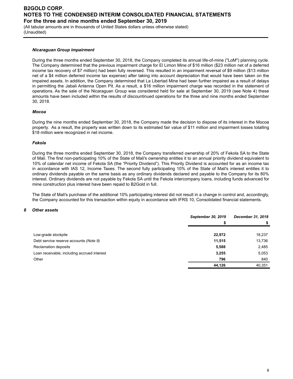(All tabular amounts are in thousands of United States dollars unless otherwise stated) (Unaudited)

#### *Nicaraguan Group impairment*

During the three months ended September 30, 2018, the Company completed its annual life-of-mine ("LoM") planning cycle. The Company determined that the previous impairment charge for El Limon Mine of \$16 million (\$23 million net of a deferred income tax recovery of \$7 million) had been fully reversed. This resulted in an impairment reversal of \$9 million (\$13 million net of a \$4 million deferred income tax expense) after taking into account depreciation that would have been taken on the impaired assets. In addition, the Company determined that La Libertad Mine had been further impaired as a result of delays in permitting the Jabali Antenna Open Pit. As a result, a \$16 million impairment charge was recorded in the statement of operations. As the sale of the Nicaraguan Group was considered held for sale at September 30, 2019 (see Note 4) these amounts have been included within the results of discountinued operations for the three and nine months ended September 30, 2018.

#### *Mocoa*

During the nine months ended September 30, 2018, the Company made the decision to dispose of its interest in the Mocoa property. As a result, the property was written down to its estimated fair value of \$11 million and impairment losses totalling \$18 million were recognized in net income.

#### *Fekola*

During the three months ended September 30, 2018, the Company transferred ownership of 20% of Fekola SA to the State of Mali. The first non-participating 10% of the State of Mali's ownership entitles it to an annual priority dividend equivalent to 10% of calendar net income of Fekola SA (the "Priority Dividend"). This Priority Dividend is accounted for as an income tax in accordance with IAS 12, Income Taxes. The second fully participating 10% of the State of Mali's interest entitles it to ordinary dividends payable on the same basis as any ordinary dividends declared and payable to the Company for its 80% interest. Ordinary dividends are not payable by Fekola SA until the Fekola intercompany loans, including funds advanced for mine construction plus interest have been repaid to B2Gold in full.

The State of Mali's purchase of the additional 10% participating interest did not result in a change in control and, accordingly, the Company accounted for this transaction within equity in accordance with IFRS 10, Consolidated financial statements.

#### *8 Other assets*

|                                             | September 30, 2019 | December 31, 2018 |
|---------------------------------------------|--------------------|-------------------|
|                                             |                    |                   |
|                                             |                    |                   |
| Low-grade stockpile                         | 22,972             | 18,237            |
| Debt service reserve accounts (Note 9)      | 11,515             | 13,736            |
| <b>Reclamation deposits</b>                 | 5,588              | 2,485             |
| Loan receivable, including accrued interest | 3,255              | 5,053             |
| Other                                       | 796                | 840               |
|                                             | 44,126             | 40,351            |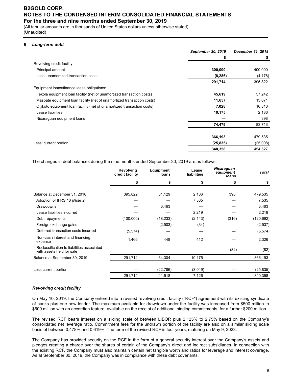(All tabular amounts are in thousands of United States dollars unless otherwise stated) (Unaudited)

### *9 Long-term debt*

|                                                                         | September 30, 2019 | December 31, 2018 |
|-------------------------------------------------------------------------|--------------------|-------------------|
|                                                                         | \$                 | \$                |
| Revolving credit facility:                                              |                    |                   |
| Principal amount                                                        | 300,000            | 400,000           |
| Less: unamortized transaction costs                                     | (8, 286)           | (4, 178)          |
|                                                                         | 291,714            | 395,822           |
| Equipment loans/finance lease obligations:                              |                    |                   |
| Fekola equipment loan facility (net of unamortized transaction costs)   | 45,619             | 57,242            |
| Masbate equipment loan facility (net of unamortized transaction costs)  | 11,657             | 13,071            |
| Otjikoto equipment loan facility (net of unamortized transaction costs) | 7,028              | 10,816            |
| Lease liabilities                                                       | 10,175             | 2,186             |
| Nicaraguan equipment loans                                              |                    | 398               |
|                                                                         | 74,479             | 83,713            |
|                                                                         | 366,193            | 479,535           |
| Less: current portion                                                   | (25, 835)          | (25,008)          |
|                                                                         | 340,358            | 454,527           |

The changes in debt balances during the nine months ended September 30, 2019 are as follows:

|                                                                         | credit facility | <b>Equipment</b><br>loans | Lease<br>liabilities | equipment<br>loans | <b>Total</b> |
|-------------------------------------------------------------------------|-----------------|---------------------------|----------------------|--------------------|--------------|
|                                                                         |                 | S                         |                      |                    |              |
| Balance at December 31, 2018                                            | 395,822         | 81,129                    | 2,186                | 398                | 479,535      |
| Adoption of IFRS 16 (Note 2)                                            |                 |                           | 7,535                |                    | 7,535        |
| <b>Drawdowns</b>                                                        |                 | 3,463                     |                      |                    | 3,463        |
| Lease liabilities incurred                                              |                 |                           | 2,219                |                    | 2,219        |
| Debt repayments                                                         | (100,000)       | (18, 233)                 | (2, 143)             | (316)              | (120, 692)   |
| Foreign exchange gains                                                  |                 | (2,503)                   | (34)                 |                    | (2, 537)     |
| Deferred transaction costs incurred                                     | (5, 574)        |                           |                      |                    | (5, 574)     |
| Non-cash interest and financing<br>expense                              | 1,466           | 448                       | 412                  |                    | 2,326        |
| Reclassification to liabilities associated<br>with assets held for sale |                 |                           |                      | (82)               | (82)         |
| Balance at September 30, 2019                                           | 291,714         | 64,304                    | 10,175               |                    | 366,193      |
| Less current portion                                                    |                 | (22, 786)                 | (3,049)              |                    | (25, 835)    |
|                                                                         | 291,714         | 41,518                    | 7,126                |                    | 340,358      |

#### *Revolving credit facility*

On May 10, 2019, the Company entered into a revised revolving credit facility ("RCF") agreement with its existing syndicate of banks plus one new lender. The maximum available for drawdown under the facility was increased from \$500 million to \$600 million with an accordion feature, available on the receipt of additional binding commitments, for a further \$200 million.

The revised RCF bears interest on a sliding scale of between LIBOR plus 2.125% to 2.75% based on the Company's consolidated net leverage ratio. Commitment fees for the undrawn portion of the facility are also on a similar sliding scale basis of between 0.478% and 0.619%. The term of the revised RCF is four years, maturing on May 9, 2023.

The Company has provided security on the RCF in the form of a general security interest over the Company's assets and pledges creating a charge over the shares of certain of the Company's direct and indirect subsidiaries. In connection with the existing RCF, the Company must also maintain certain net tangible worth and ratios for leverage and interest coverage. As at September 30, 2019, the Company was in compliance with these debt covenants.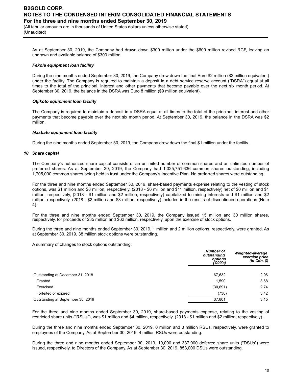(All tabular amounts are in thousands of United States dollars unless otherwise stated) (Unaudited)

As at September 30, 2019, the Company had drawn down \$300 million under the \$600 million revised RCF, leaving an undrawn and available balance of \$300 million.

#### *Fekola equipment loan facility*

During the nine months ended September 30, 2019, the Company drew down the final Euro \$2 million (\$2 million equivalent) under the facility. The Company is required to maintain a deposit in a debt service reserve account ("DSRA") equal at all times to the total of the principal, interest and other payments that become payable over the next six month period. At September 30, 2019, the balance in the DSRA was Euro 8 million (\$9 million equivalent).

#### *Otjikoto equipment loan facility*

The Company is required to maintain a deposit in a DSRA equal at all times to the total of the principal, interest and other payments that become payable over the next six month period. At September 30, 2019, the balance in the DSRA was \$2 million.

#### *Masbate equipment loan facility*

During the nine months ended September 30, 2019, the Company drew down the final \$1 million under the facility.

#### *10 Share capital*

The Company's authorized share capital consists of an unlimited number of common shares and an unlimited number of preferred shares. As at September 30, 2019, the Company had 1,025,751,636 common shares outstanding, including 1,705,000 common shares being held in trust under the Company's Incentive Plan. No preferred shares were outstanding.

For the three and nine months ended September 30, 2019, share-based payments expense relating to the vesting of stock options, was \$1 million and \$8 million, respectively, (2018 - \$6 million and \$11 million, respectively) net of \$0 million and \$1 million, respectively, (2018 - \$1 million and \$2 million, respectively) capitalized to mining interests and \$1 million and \$2 million, respectively, (2018 - \$2 million and \$3 million, respectively) included in the results of discontinued operations (Note 4).

For the three and nine months ended September 30, 2019, the Company issued 15 million and 30 million shares, respectively, for proceeds of \$35 million and \$62 million, respectively, upon the exercise of stock options.

During the three and nine months ended September 30, 2019, 1 million and 2 million options, respectively, were granted. As at September 30, 2019, 38 million stock options were outstanding.

A summary of changes to stock options outstanding:

|                                   | <b>Number of</b><br>outstanding<br>options<br>('000's) | Weighted-average<br>exercise price<br>$(in$ Cdn. $$)$ |
|-----------------------------------|--------------------------------------------------------|-------------------------------------------------------|
|                                   |                                                        |                                                       |
| Outstanding at December 31, 2018  | 67,632                                                 | 2.96                                                  |
| Granted                           | 1,590                                                  | 3.68                                                  |
| Exercised                         | (30, 691)                                              | 2.74                                                  |
| Forfeited or expired              | (730)                                                  | 3.42                                                  |
| Outstanding at September 30, 2019 | 37,801                                                 | 3.15                                                  |

For the three and nine months ended September 30, 2019, share-based payments expense, relating to the vesting of restricted share units ("RSUs"), was \$1 million and \$4 million, respectively, (2018 - \$1 million and \$2 million, respectively).

During the three and nine months ended September 30, 2019, 0 million and 3 million RSUs, respectively, were granted to employees of the Company. As at September 30, 2019, 4 million RSUs were outstanding.

During the three and nine months ended September 30, 2019, 10,000 and 337,000 deferred share units ("DSUs") were issued, respectively, to Directors of the Company. As at September 30, 2019, 853,000 DSUs were outstanding.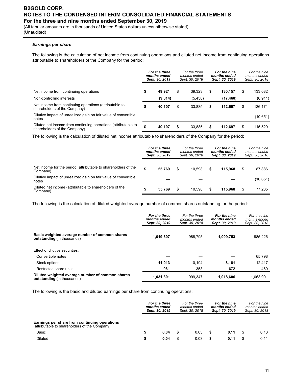(All tabular amounts are in thousands of United States dollars unless otherwise stated) (Unaudited)

### *Earnings per share*

The following is the calculation of net income from continuing operations and diluted net income from continuing operations attributable to shareholders of the Company for the period:

|                                                                                                | For the three<br>months ended<br>Sept. 30, 2019 |         | For the three<br>months ended<br>Sept. 30, 2018 |          | For the nine<br>months ended<br>Sept. 30, 2019 |           | For the nine<br>months ended<br>Sept. 30, 2018 |          |
|------------------------------------------------------------------------------------------------|-------------------------------------------------|---------|-------------------------------------------------|----------|------------------------------------------------|-----------|------------------------------------------------|----------|
| Net income from continuing operations                                                          | \$                                              | 49.921  | \$                                              | 39.323   | \$                                             | 130.157   | \$                                             | 133,082  |
| Non-controlling interests                                                                      |                                                 | (9,814) |                                                 | (5, 438) |                                                | (17, 460) |                                                | (6, 911) |
| Net income from continuing operations (attributable to<br>shareholders of the Company)         | \$                                              | 40,107  | \$                                              | 33.885   | \$                                             | 112.697   | \$                                             | 126,171  |
| Dilutive impact of unrealized gain on fair value of convertible<br>notes                       |                                                 |         |                                                 |          |                                                |           |                                                | (10,651) |
| Diluted net income from continuing operations (attributable to<br>shareholders of the Company) | ¢<br>₽                                          | 40,107  | \$                                              | 33,885   | \$                                             | 112.697   | S                                              | 115,520  |

The following is the calculation of diluted net income attributable to shareholders of the Company for the period:

|                                                                            | For the three<br>months ended<br>Sept. 30, 2019 |        | For the three<br>months ended<br>Sept. 30, 2018 |    |         | For the nine<br>months ended<br>Sept. 30, 2019 | For the nine<br>months ended<br>Sept. 30, 2018 |  |
|----------------------------------------------------------------------------|-------------------------------------------------|--------|-------------------------------------------------|----|---------|------------------------------------------------|------------------------------------------------|--|
| Net income for the period (attributable to shareholders of the<br>Company) | \$                                              | 55.769 | \$<br>10.598                                    | \$ | 115.968 | \$                                             | 87,886                                         |  |
| Dilutive impact of unrealized gain on fair value of convertible<br>notes   |                                                 |        |                                                 |    |         |                                                | (10, 651)                                      |  |
| Diluted net income (attributable to shareholders of the<br>Company)        | S                                               | 55.769 | \$<br>10.598                                    | S  | 115.968 | S                                              | 77,235                                         |  |

The following is the calculation of diluted weighted average number of common shares outstanding for the period:

|                                                                                | For the three<br>months ended<br>Sept. 30, 2019 | For the three<br>months ended<br>Sept. 30, 2018 | For the nine<br>months ended<br>Sept. 30, 2019 | For the nine<br>months ended<br>Sept. 30, 2018 |
|--------------------------------------------------------------------------------|-------------------------------------------------|-------------------------------------------------|------------------------------------------------|------------------------------------------------|
| Basic weighted average number of common shares<br>outstanding (in thousands)   | 1.019.307                                       | 988.795                                         | 1.009.753                                      | 985,226                                        |
| Effect of dilutive securities:                                                 |                                                 |                                                 |                                                |                                                |
| Convertible notes                                                              |                                                 |                                                 |                                                | 65.798                                         |
| Stock options                                                                  | 11.013                                          | 10.194                                          | 8.181                                          | 12,417                                         |
| Restricted share units                                                         | 981                                             | 358                                             | 672                                            | 460                                            |
| Diluted weighted average number of common shares<br>outstanding (in thousands) | 1,031,301                                       | 999.347                                         | 1.018.606                                      | 1.063.901                                      |

The following is the basic and diluted earnings per share from continuing operations:

|                                                                                                | For the three<br>months ended<br>Sept. 30, 2019 |      | For the three<br>months ended<br>Sept. 30, 2018 |      | For the nine<br>months ended<br>Sept. 30, 2019 |      | For the nine<br>months ended<br>Sept. 30, 2018 |      |
|------------------------------------------------------------------------------------------------|-------------------------------------------------|------|-------------------------------------------------|------|------------------------------------------------|------|------------------------------------------------|------|
| Earnings per share from continuing operations<br>(attributable to shareholders of the Company) |                                                 |      |                                                 |      |                                                |      |                                                |      |
| Basic                                                                                          |                                                 | 0.04 |                                                 | 0.03 |                                                | 0.11 |                                                | 0.13 |
| <b>Diluted</b>                                                                                 |                                                 | 0.04 |                                                 | 0.03 | \$                                             | 0.11 | £.                                             | 0.11 |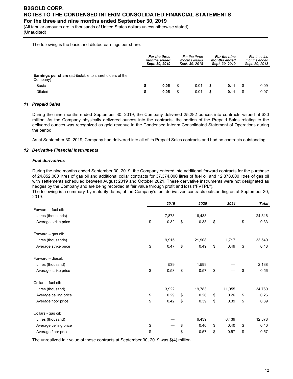(All tabular amounts are in thousands of United States dollars unless otherwise stated) (Unaudited)

The following is the basic and diluted earnings per share:

|                                                                                                       | For the three<br>months ended<br>Sept. 30, 2019 |              |          |              |        | For the three<br>months ended<br>Sept. 30, 2018 |    | For the nine<br>months ended<br>Sept. 30, 2019 | For the nine<br>months ended<br>Sept. 30, 2018 |  |  |
|-------------------------------------------------------------------------------------------------------|-------------------------------------------------|--------------|----------|--------------|--------|-------------------------------------------------|----|------------------------------------------------|------------------------------------------------|--|--|
| <b>Earnings per share</b> (attributable to shareholders of the<br>Company)<br>Basic<br><b>Diluted</b> | S<br>S                                          | 0.05<br>0.05 | \$<br>\$ | 0.01<br>0.01 | S<br>S | 0.11<br>0.11                                    | \$ | 0.09<br>0.07                                   |                                                |  |  |

### *11 Prepaid Sales*

During the nine months ended September 30, 2019, the Company delivered 25,282 ounces into contracts valued at \$30 million. As the Company physically delivered ounces into the contracts, the portion of the Prepaid Sales relating to the delivered ounces was recognized as gold revenue in the Condensed Interim Consolidated Statement of Operations during the period.

As at September 30, 2019, Company had delivered into all of its Prepaid Sales contracts and had no contracts outstanding.

### *12 Derivative Financial instruments*

### *Fuel derivatives*

During the nine months ended September 30, 2019, the Company entered into additional forward contracts for the purchase of 24,852,000 litres of gas oil and additional collar contracts for 37,374,000 litres of fuel oil and 12,878,000 litres of gas oil with settlements scheduled between August 2019 and October 2021. These derivative instruments were not designated as hedges by the Company and are being recorded at fair value through profit and loss ("FVTPL").

The following is a summary, by maturity dates, of the Company's fuel derivatives contracts outstanding as at September 30, 2019:

|                       | 2019       | 2020       | 2021       | <b>Total</b> |
|-----------------------|------------|------------|------------|--------------|
| Forward - fuel oil:   |            |            |            |              |
| Litres (thousands)    | 7,878      | 16,438     |            | 24,316       |
| Average strike price  | \$<br>0.32 | \$<br>0.33 | \$         | \$<br>0.33   |
| Forward - gas oil:    |            |            |            |              |
| Litres (thousands)    | 9,915      | 21,908     | 1,717      | 33,540       |
| Average strike price  | \$<br>0.47 | \$<br>0.49 | \$<br>0.49 | \$<br>0.48   |
| Forward - diesel:     |            |            |            |              |
| Litres (thousand)     | 539        | 1,599      |            | 2,138        |
| Average strike price  | \$<br>0.53 | \$<br>0.57 | \$         | \$<br>0.56   |
| Collars - fuel oil:   |            |            |            |              |
| Litres (thousand)     | 3,922      | 19,783     | 11,055     | 34,760       |
| Average ceiling price | \$<br>0.29 | \$<br>0.26 | \$<br>0.26 | \$<br>0.26   |
| Average floor price   | \$<br>0.42 | \$<br>0.39 | \$<br>0.39 | \$<br>0.39   |
| Collars - gas oil:    |            |            |            |              |
| Litres (thousand)     |            | 6,439      | 6,439      | 12,878       |
| Average ceiling price | \$         | \$<br>0.40 | \$<br>0.40 | \$<br>0.40   |
| Average floor price   | \$         | \$<br>0.57 | \$<br>0.57 | \$<br>0.57   |

The unrealized fair value of these contracts at September 30, 2019 was \$(4) million.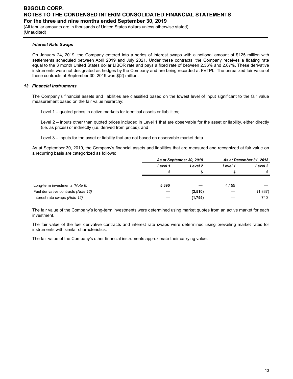(All tabular amounts are in thousands of United States dollars unless otherwise stated) (Unaudited)

### *Interest Rate Swaps*

On January 24, 2019, the Company entered into a series of interest swaps with a notional amount of \$125 million with settlements scheduled between April 2019 and July 2021. Under these contracts, the Company receives a floating rate equal to the 3 month United States dollar LIBOR rate and pays a fixed rate of between 2.36% and 2.67%. These derivative instruments were not designated as hedges by the Company and are being recorded at FVTPL. The unrealized fair value of these contracts at September 30, 2019 was \$(2) million.

### *13 Financial Instruments*

The Company's financial assets and liabilities are classified based on the lowest level of input significant to the fair value measurement based on the fair value hierarchy:

Level 1 – quoted prices in active markets for identical assets or liabilities;

Level 2 – inputs other than quoted prices included in Level 1 that are observable for the asset or liability, either directly (i.e. as prices) or indirectly (i.e. derived from prices); and

Level 3 – inputs for the asset or liability that are not based on observable market data.

As at September 30, 2019, the Company's financial assets and liabilities that are measured and recognized at fair value on a recurring basis are categorized as follows:

| As at December 31, 2018 |
|-------------------------|
| Level 2                 |
| S                       |
|                         |
|                         |
| (1,837)                 |
| 740                     |
|                         |

The fair value of the Company's long-term investments were determined using market quotes from an active market for each investment.

The fair value of the fuel derivative contracts and interest rate swaps were determined using prevailing market rates for instruments with similar characteristics.

The fair value of the Company's other financial instruments approximate their carrying value.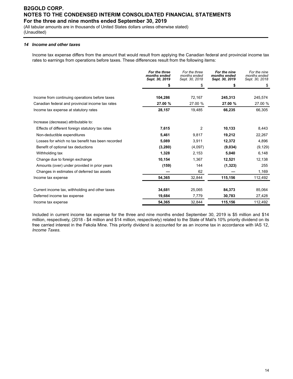(All tabular amounts are in thousands of United States dollars unless otherwise stated) (Unaudited)

### *14 Income and other taxes*

Income tax expense differs from the amount that would result from applying the Canadian federal and provincial income tax rates to earnings from operations before taxes. These differences result from the following items:

|                                                   | For the three<br>months ended<br>Sept. 30, 2019 | For the three<br>months ended<br>Sept. 30, 2018 | For the nine<br>months ended<br>Sept. 30, 2019 | For the nine<br>months ended<br>Sept. 30, 2018 |
|---------------------------------------------------|-------------------------------------------------|-------------------------------------------------|------------------------------------------------|------------------------------------------------|
|                                                   | \$                                              | \$                                              | \$                                             | \$                                             |
|                                                   |                                                 |                                                 |                                                |                                                |
| Income from continuing operations before taxes    | 104,286                                         | 72,167                                          | 245,313                                        | 245,574                                        |
| Canadian federal and provincial income tax rates  | 27.00 %                                         | 27.00 %                                         | 27.00 %                                        | 27.00 %                                        |
| Income tax expense at statutory rates             | 28,157                                          | 19,485                                          | 66,235                                         | 66,305                                         |
| Increase (decrease) attributable to:              |                                                 |                                                 |                                                |                                                |
| Effects of different foreign statutory tax rates  | 7,615                                           | 2                                               | 10,133                                         | 8,443                                          |
| Non-deductible expenditures                       | 5,461                                           | 9,817                                           | 19,212                                         | 22,267                                         |
| Losses for which no tax benefit has been recorded | 5,089                                           | 3,911                                           | 12,372                                         | 4,896                                          |
| Benefit of optional tax deductions                | (3, 280)                                        | (4,097)                                         | (9,034)                                        | (9, 129)                                       |
| Withholding tax                                   | 1,328                                           | 2,153                                           | 5,040                                          | 6,148                                          |
| Change due to foreign exchange                    | 10,154                                          | 1,367                                           | 12,521                                         | 12,138                                         |
| Amounts (over) under provided in prior years      | (159)                                           | 144                                             | (1, 323)                                       | 255                                            |
| Changes in estimates of deferred tax assets       |                                                 | 62                                              |                                                | 1,169                                          |
| Income tax expense                                | 54,365                                          | 32,844                                          | 115,156                                        | 112,492                                        |
| Current income tax, withholding and other taxes   | 34,681                                          | 25,065                                          | 84,373                                         | 85,064                                         |
| Deferred income tax expense                       | 19,684                                          | 7,779                                           | 30,783                                         | 27,428                                         |
| Income tax expense                                | 54,365                                          | 32,844                                          | 115,156                                        | 112,492                                        |

Included in current income tax expense for the three and nine months ended September 30, 2019 is \$5 million and \$14 million, respectively, (2018 - \$4 million and \$14 million, respectively) related to the State of Mali's 10% priority dividend on its free carried interest in the Fekola Mine. This priority dividend is accounted for as an income tax in accordance with IAS 12, *Income Taxes.*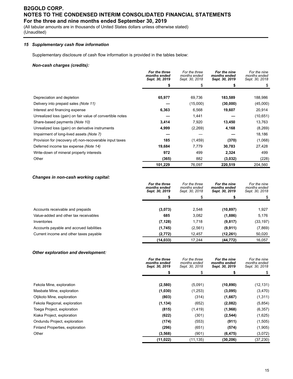(All tabular amounts are in thousands of United States dollars unless otherwise stated) (Unaudited)

### *15 Supplementary cash flow information*

Supplementary disclosure of cash flow information is provided in the tables below:

### *Non-cash charges (credits):*

|                                                           | For the three<br>months ended<br>Sept. 30, 2019 | For the three<br>months ended<br>Sept. 30, 2018 | For the nine<br>months ended<br>Sept. 30, 2019 | For the nine<br>months ended<br>Sept. 30, 2018 |
|-----------------------------------------------------------|-------------------------------------------------|-------------------------------------------------|------------------------------------------------|------------------------------------------------|
|                                                           |                                                 | S                                               |                                                | \$                                             |
|                                                           |                                                 |                                                 |                                                |                                                |
| Depreciation and depletion                                | 65,977                                          | 69,736                                          | 183,589                                        | 188,986                                        |
| Delivery into prepaid sales (Note 11)                     |                                                 | (15,000)                                        | (30,000)                                       | (45,000)                                       |
| Interest and financing expense                            | 6,363                                           | 6,568                                           | 19,607                                         | 20,914                                         |
| Unrealized loss (gain) on fair value of convertible notes |                                                 | 1,441                                           |                                                | (10, 651)                                      |
| Share-based payments (Note 10)                            | 3,414                                           | 7,920                                           | 13,450                                         | 13,763                                         |
| Unrealized loss (gain) on derivative instruments          | 4,999                                           | (2,269)                                         | 4,168                                          | (8,269)                                        |
| Impairment of long-lived assets (Note 7)                  |                                                 |                                                 |                                                | 18,186                                         |
| Provision for (recovery of) non-recoverable input taxes   | 185                                             | (1, 459)                                        | (370)                                          | (1,068)                                        |
| Deferred income tax expense (Note 14)                     | 19,684                                          | 7,779                                           | 30,783                                         | 27,428                                         |
| Write-down of mineral property interests                  | 972                                             | 499                                             | 2,324                                          | 499                                            |
| Other                                                     | (365)                                           | 882                                             | (3,032)                                        | (228)                                          |
|                                                           | 101,229                                         | 76,097                                          | 220,519                                        | 204,560                                        |

### *Changes in non-cash working capital:*

|                                          | For the three<br>months ended<br>Sept. 30, 2019 | For the three<br>months ended<br>Sept. 30, 2018 | For the nine<br>months ended<br>Sept. 30, 2019 | For the nine<br>months ended<br>Sept. 30, 2018 |
|------------------------------------------|-------------------------------------------------|-------------------------------------------------|------------------------------------------------|------------------------------------------------|
|                                          |                                                 |                                                 |                                                | \$                                             |
| Accounts receivable and prepaids         | (3,073)                                         | 2,548                                           | (10, 897)                                      | 1,927                                          |
| Value-added and other tax receivables    | 685                                             | 3,082                                           | (1,886)                                        | 5,176                                          |
| Inventories                              | (7, 128)                                        | 1,718                                           | (9, 817)                                       | (33, 197)                                      |
| Accounts payable and accrued liabilities | (1,745)                                         | (2, 561)                                        | (9,911)                                        | (7,869)                                        |
| Current income and other taxes payable   | (2,772)                                         | 12.457                                          | (12, 261)                                      | 50.020                                         |
|                                          | (14, 033)                                       | 17.244                                          | (44, 772)                                      | 16.057                                         |

### *Other exploration and development:*

|                                 | For the three<br>months ended<br>Sept. 30, 2019 | For the three<br>months ended<br>Sept. 30, 2018 | For the nine<br>months ended<br>Sept. 30, 2019 | For the nine<br>months ended<br>Sept. 30, 2018 |
|---------------------------------|-------------------------------------------------|-------------------------------------------------|------------------------------------------------|------------------------------------------------|
|                                 |                                                 |                                                 |                                                |                                                |
|                                 |                                                 |                                                 |                                                |                                                |
| Fekola Mine, exploration        | (2,580)                                         | (5,091)                                         | (10, 890)                                      | (12, 131)                                      |
| Masbate Mine, exploration       | (1,030)                                         | (1,253)                                         | (3,095)                                        | (3,470)                                        |
| Otjikoto Mine, exploration      | (803)                                           | (314)                                           | (1,667)                                        | (1,311)                                        |
| Fekola Regional, exploration    | (1, 134)                                        | (652)                                           | (2,082)                                        | (5,854)                                        |
| Toega Project, exploration      | (815)                                           | (1, 419)                                        | (1,968)                                        | (6, 357)                                       |
| Kiaka Project, exploration      | (622)                                           | (301)                                           | (2, 544)                                       | (1,625)                                        |
| Ondundu Project, exploration    | (174)                                           | (553)                                           | (911)                                          | (1,505)                                        |
| Finland Properties, exploration | (296)                                           | (651)                                           | (574)                                          | (1,905)                                        |
| Other                           | (3, 568)                                        | (901)                                           | (6, 475)                                       | (3,072)                                        |
|                                 | (11, 022)                                       | (11, 135)                                       | (30, 206)                                      | (37, 230)                                      |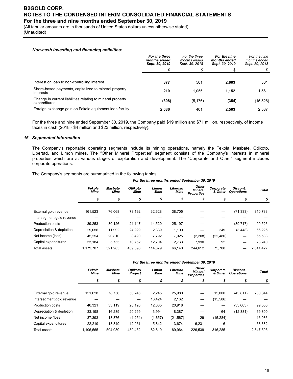(All tabular amounts are in thousands of United States dollars unless otherwise stated) (Unaudited)

### *Non-cash investing and financing activities:*

|                                                                            | For the three<br>months ended<br>Sept. 30, 2019 | For the three<br>months ended<br>Sept. 30, 2018 | For the nine<br>months ended<br>Sept. 30, 2019 | For the nine<br>months ended<br>Sept. 30, 2018 |
|----------------------------------------------------------------------------|-------------------------------------------------|-------------------------------------------------|------------------------------------------------|------------------------------------------------|
|                                                                            |                                                 | \$                                              |                                                |                                                |
|                                                                            |                                                 |                                                 |                                                |                                                |
| Interest on loan to non-controlling interest                               | 877                                             | 501                                             | 2,603                                          | 501                                            |
| Share-based payments, capitalized to mineral property<br>interests         | 210                                             | 1.055                                           | 1.152                                          | 1,561                                          |
| Change in current liabilities relating to mineral property<br>expenditures | (308)                                           | (5, 176)                                        | (354)                                          | (15,526)                                       |
| Foreign exchange gain on Fekola equipment loan facility                    | 2.086                                           | 401                                             | 2.503                                          | 2,537                                          |

For the three and nine ended September 30, 2019, the Company paid \$19 million and \$71 million, respectively, of income taxes in cash (2018 - \$4 million and \$23 million, respectively).

#### *16 Segmented Information*

The Company's reportable operating segments include its mining operations, namely the Fekola, Masbate, Otjikoto, Libertad, and Limon mines. The "Other Mineral Properties" segment consists of the Company's interests in mineral properties which are at various stages of exploration and development. The "Corporate and Other" segment includes corporate operations.

The Company's segments are summarized in the following tables:

|                           |                       |                 |                  |                      |                         | For the three months ended September 30, 2019 |                      |                               |           |
|---------------------------|-----------------------|-----------------|------------------|----------------------|-------------------------|-----------------------------------------------|----------------------|-------------------------------|-----------|
|                           | Fekola<br><b>Mine</b> | Masbate<br>Mine | Otiikoto<br>Mine | Limon<br><b>Mine</b> | Libertad<br><b>Mine</b> | Other<br><b>Mineral</b><br><b>Properties</b>  | Corporate<br>& Other | Discont.<br><b>Operations</b> | Total     |
|                           | \$                    | S               | \$               | \$                   |                         |                                               | \$                   | S                             | \$        |
|                           |                       |                 |                  |                      |                         |                                               |                      |                               |           |
| External gold revenue     | 161,523               | 76,068          | 73,192           | 32,628               | 38,705                  |                                               |                      | (71, 333)                     | 310,783   |
| Intersegment gold revenue |                       |                 |                  |                      |                         |                                               |                      |                               |           |
| Production costs          | 39,253                | 30,126          | 21,147           | 14,520               | 25,197                  |                                               | —                    | (39, 717)                     | 90,526    |
| Depreciation & depletion  | 29,056                | 11,992          | 24,929           | 2,339                | 1,109                   |                                               | 249                  | (3, 448)                      | 66,226    |
| Net income (loss)         | 45,254                | 20,810          | 8,490            | 7,792                | 7,925                   | (2,208)                                       | (22, 480)            |                               | 65,583    |
| Capital expenditures      | 33.184                | 5.755           | 10.752           | 12.704               | 2.763                   | 7,990                                         | 92                   |                               | 73,240    |
| Total assets              | 1.179.707             | 521.285         | 439.096          | 114.879              | 66.140                  | 244.612                                       | 75.708               | --                            | 2,641,427 |
|                           |                       |                 |                  |                      |                         |                                               |                      |                               |           |

|  |  | For the three months ended September 30, 2018 |  |
|--|--|-----------------------------------------------|--|
|  |  |                                               |  |

| Fekola<br>Mine | Masbate<br><b>Mine</b> | <b>Otiikoto</b><br><b>Project</b> | Limon<br>Mine | Libertad<br><b>Mine</b> | Other<br><b>Mineral</b><br><b>Properties</b> | Corporate<br>& Other | Discont.<br><b>Operations</b> | <b>Total</b> |
|----------------|------------------------|-----------------------------------|---------------|-------------------------|----------------------------------------------|----------------------|-------------------------------|--------------|
| \$             | \$                     | \$                                | \$            | \$                      | \$                                           | \$                   | \$                            | \$           |
|                |                        |                                   |               |                         |                                              |                      |                               |              |
| 151.628        | 78.756                 | 50.246                            | 2.245         | 25.980                  | $\overline{\phantom{m}}$                     | 15.000               | (43, 811)                     | 280.044      |
|                |                        | –                                 | 13,424        | 2,162                   |                                              | (15, 586)            |                               |              |
| 46,321         | 33,119                 | 20,126                            | 12,685        | 20,918                  |                                              |                      | (33, 603)                     | 99,566       |
| 33,198         | 16,239                 | 20,299                            | 3,994         | 8,387                   |                                              | 64                   | (12, 381)                     | 69,800       |
| 37,393         | 18,376                 | (1, 254)                          | (1,657)       | (21, 567)               | 29                                           | (15, 284)            |                               | 16,036       |
| 22,219         | 13,349                 | 12,061                            | 5,842         | 3,674                   | 6,231                                        | 6                    |                               | 63,382       |
| 1.196.565      | 504.980                | 430.452                           | 82,810        | 89.964                  | 226.539                                      | 316.285              |                               | 2.847.595    |
|                |                        |                                   |               |                         |                                              |                      |                               |              |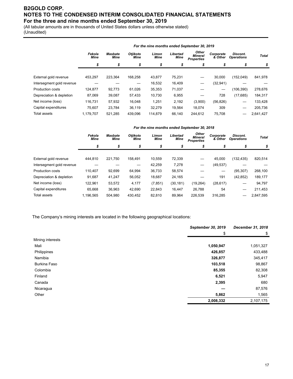(All tabular amounts are in thousands of United States dollars unless otherwise stated) (Unaudited)

|                           | For the nine months ended September 30, 2019                                                                                                                                                                      |         |         |         |        |         |                          |           |              |
|---------------------------|-------------------------------------------------------------------------------------------------------------------------------------------------------------------------------------------------------------------|---------|---------|---------|--------|---------|--------------------------|-----------|--------------|
|                           | Other<br>Otjikoto<br>Libertad<br>Discont.<br>Fekola<br>Limon<br>Corporate<br><b>Masbate</b><br>Mineral<br><b>Mine</b><br><b>Mine</b><br>& Other<br>Mine<br>Mine<br>Mine<br><b>Operations</b><br><b>Properties</b> |         |         |         |        |         |                          |           | <b>Total</b> |
|                           | \$                                                                                                                                                                                                                | \$      | \$      | \$      | \$     | \$      | \$                       | \$        | \$           |
|                           |                                                                                                                                                                                                                   |         |         |         |        |         |                          |           |              |
| External gold revenue     | 453,297                                                                                                                                                                                                           | 223.364 | 168,258 | 43,877  | 75,231 |         | 30,000                   | (152,049) | 841,978      |
| Intersegment gold revenue |                                                                                                                                                                                                                   |         |         | 16,532  | 16,409 |         | (32, 941)                |           |              |
| <b>Production costs</b>   | 124,877                                                                                                                                                                                                           | 92,773  | 61,026  | 35,353  | 71,037 |         | $\overline{\phantom{m}}$ | (106,390) | 278,676      |
| Depreciation & depletion  | 87,069                                                                                                                                                                                                            | 39,087  | 57,433  | 10,730  | 6,955  |         | 728                      | (17,685)  | 184,317      |
| Net income (loss)         | 116,731                                                                                                                                                                                                           | 57,932  | 16,048  | 1,251   | 2,192  | (3,900) | (56, 826)                |           | 133,428      |
| Capital expenditures      | 75,607                                                                                                                                                                                                            | 23.784  | 36.119  | 32,279  | 19.564 | 18.074  | 309                      |           | 205,736      |
| <b>Total assets</b>       | 1.179.707                                                                                                                                                                                                         | 521.285 | 439.096 | 114.879 | 66.140 | 244.612 | 75.708                   |           | 2,641,427    |

|                           |                       |                                                                                                                                                                                                                        |         |          |           | For the nine months ended September 30, 2018 |           |            |           |  |
|---------------------------|-----------------------|------------------------------------------------------------------------------------------------------------------------------------------------------------------------------------------------------------------------|---------|----------|-----------|----------------------------------------------|-----------|------------|-----------|--|
|                           | Fekola<br><b>Mine</b> | Other<br>Otjikoto<br>Libertad<br>Limon<br>Corporate<br>Discont.<br><b>Masbate</b><br>Total<br><b>Mineral</b><br><b>Mine</b><br><b>Mine</b><br><b>Mine</b><br>& Other<br>Mine<br><b>Operations</b><br><b>Properties</b> |         |          |           |                                              |           |            |           |  |
|                           | \$                    | \$                                                                                                                                                                                                                     | \$      | \$       | \$        |                                              | \$        | S          | \$        |  |
| External gold revenue     | 444.810               | 221,750                                                                                                                                                                                                                | 158.491 | 10,559   | 72,339    | —                                            | 45,000    | (132, 435) | 820,514   |  |
| Intersegment gold revenue |                       |                                                                                                                                                                                                                        |         | 42,259   | 7,278     | —                                            | (49, 537) |            |           |  |
| <b>Production costs</b>   | 110.407               | 92.699                                                                                                                                                                                                                 | 64,994  | 36,733   | 58,574    |                                              | –         | (95, 307)  | 268,100   |  |
| Depreciation & depletion  | 91.687                | 41.247                                                                                                                                                                                                                 | 56,052  | 18,687   | 24,165    |                                              | 191       | (42, 852)  | 189,177   |  |
| Net income (loss)         | 122,961               | 53,572                                                                                                                                                                                                                 | 4,177   | (7, 851) | (30, 181) | (19,264)                                     | (28, 617) |            | 94,797    |  |
| Capital expenditures      | 65.668                | 36,963                                                                                                                                                                                                                 | 42,690  | 22,843   | 16.447    | 26,788                                       | 54        |            | 211,453   |  |
| Total assets              | 1.196.565             | 504.980                                                                                                                                                                                                                | 430.452 | 82,810   | 89.964    | 226,539                                      | 316,285   |            | 2,847,595 |  |
|                           |                       |                                                                                                                                                                                                                        |         |          |           |                                              |           |            |           |  |

The Company's mining interests are located in the following geographical locations:

|                     | September 30, 2019 | December 31, 2018 |
|---------------------|--------------------|-------------------|
|                     | \$                 | \$                |
| Mining interests    |                    |                   |
| Mali                | 1,050,947          | 1,051,327         |
| Philippines         | 426,857            | 433,488           |
| Namibia             | 326,877            | 345,417           |
| <b>Burkina Faso</b> | 103,518            | 98,867            |
| Colombia            | 85,355             | 82,308            |
| Finland             | 6,521              | 5,947             |
| Canada              | 2,395              | 680               |
| Nicaragua           |                    | 87,576            |
| Other               | 5,862              | 1,565             |
|                     | 2,008,332          | 2,107,175         |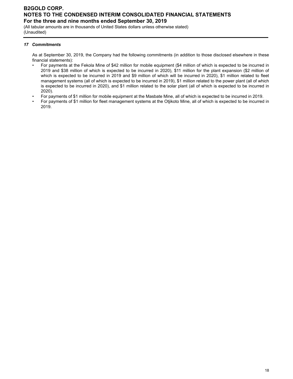(All tabular amounts are in thousands of United States dollars unless otherwise stated) (Unaudited)

### *17 Commitments*

As at September 30, 2019, the Company had the following commitments (in addition to those disclosed elsewhere in these financial statements):

- For payments at the Fekola Mine of \$42 million for mobile equipment (\$4 million of which is expected to be incurred in 2019 and \$38 million of which is expected to be incurred in 2020), \$11 million for the plant expansion (\$2 million of which is expected to be incurred in 2019 and \$9 million of which will be incurred in 2020), \$1 million related to fleet management systems (all of which is expected to be incurred in 2019), \$1 million related to the power plant (all of which is expected to be incurred in 2020), and \$1 million related to the solar plant (all of which is expected to be incurred in 2020).
- For payments of \$1 million for mobile equipment at the Masbate Mine, all of which is expected to be incurred in 2019.
- For payments of \$1 million for fleet management systems at the Otjikoto Mine, all of which is expected to be incurred in 2019.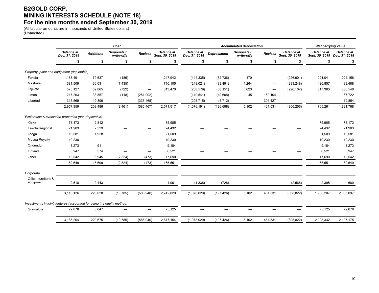# **B2GOLD CORP. MINING INTERESTS SCHEDULE (NOTE 18) For the nine months ended September 30, 2019**

(All tabular amounts are in thousands of United States dollars) (Unaudited)

|                                                                       |                                    |                          | Cost                      |                   | <b>Accumulated depreciation</b>     |                                    |                                 |                           |                          | <b>Net carrying value</b>           |                   |                                                   |
|-----------------------------------------------------------------------|------------------------------------|--------------------------|---------------------------|-------------------|-------------------------------------|------------------------------------|---------------------------------|---------------------------|--------------------------|-------------------------------------|-------------------|---------------------------------------------------|
|                                                                       | <b>Balance at</b><br>Dec. 31, 2018 | <b>Additions</b>         | Disposals /<br>write-offs | <b>Reclass</b>    | <b>Balance at</b><br>Sept. 30, 2019 | <b>Balance</b> at<br>Dec. 31, 2018 | <b>Depreciation</b>             | Disposals /<br>write-offs | Reclass                  | <b>Balance at</b><br>Sept. 30, 2019 | <b>Balance</b> at | <b>Balance</b> at<br>Sept. 30, 2019 Dec. 31, 2018 |
|                                                                       | \$                                 | \$                       | \$                        | \$                | \$                                  | \$                                 | \$                              | \$                        | \$                       | \$                                  | \$                | \$                                                |
| Property, plant and equipment (depletable)                            |                                    |                          |                           |                   |                                     |                                    |                                 |                           |                          |                                     |                   |                                                   |
| Fekola                                                                | 1,168,491                          | 79,637                   | (186)                     | —                 | 1,247,942                           | (144, 335)                         | (82, 736)                       | 170                       |                          | (226, 901)                          | 1,021,041         | 1,024,156                                         |
| Masbate                                                               | 681,509                            | 36,031                   | (7, 435)                  | —                 | 710,105                             | (248, 021)                         | (39, 491)                       | 4,264                     | —                        | (283, 248)                          | 426,857           | 433,488                                           |
| Otjikoto                                                              | 575,127                            | 39,065                   | (722)                     | —                 | 613,470                             | (238, 579)                         | (58, 151)                       | 623                       | $\qquad \qquad -$        | (296, 107)                          | 317,363           | 336,548                                           |
| Limon                                                                 | 217,263                            | 33,857                   | (118)                     | (251,002)         |                                     | (149, 541)                         | (10,608)                        | 45                        | 160,104                  |                                     | —                 | 67,722                                            |
| Libertad                                                              | 315,569                            | 19,896                   | $\overline{\phantom{m}}$  | (335, 465)        | $\hspace{0.1mm}-\hspace{0.1mm}$     | (295, 715)                         | (5, 712)                        |                           | 301,427                  |                                     |                   | 19,854                                            |
|                                                                       | 2,957,959                          | 208,486                  | (8, 461)                  | (586, 467)        | 2,571,517                           | (1,076,191)                        | (196, 698)                      | 5,102                     | 461,531                  | (806, 256)                          | 1,765,261         | 1,881,768                                         |
| Exploration & evaluation properties (non-depletable)                  |                                    |                          |                           |                   |                                     |                                    |                                 |                           |                          |                                     |                   |                                                   |
| Kiaka                                                                 | 73,173                             | 2,812                    |                           | —                 | 75,985                              |                                    |                                 |                           |                          |                                     | 75,985            | 73,173                                            |
| Fekola Regional                                                       | 21,903                             | 2,529                    |                           | —                 | 24,432                              |                                    |                                 |                           |                          |                                     | 24,432            | 21,903                                            |
| Toega                                                                 | 19,581                             | 1,928                    |                           | —                 | 21,509                              |                                    |                                 |                           |                          | -                                   | 21,509            | 19,581                                            |
| Mocoa Royalty                                                         | 10,230                             | $\overline{\phantom{m}}$ |                           | —                 | 10,230                              |                                    |                                 |                           |                          | --                                  | 10,230            | 10,230                                            |
| Ondundu                                                               | 8,273                              | 911                      |                           | —                 | 9,184                               |                                    |                                 |                           |                          |                                     | 9,184             | 8,273                                             |
| Finland                                                               | 5,947                              | 574                      |                           | —                 | 6,521                               | -                                  |                                 |                           |                          | —                                   | 6,521             | 5,947                                             |
| Other                                                                 | 13,542                             | 6,945                    | (2, 324)                  | (473)             | 17,690                              |                                    |                                 |                           | _                        | —                                   | 17,690            | 13,542                                            |
|                                                                       | 152,649                            | 15,699                   | (2, 324)                  | (473)             | 165,551                             | $\overline{\phantom{0}}$           | $\overbrace{\phantom{1232211}}$ | $\equiv$                  | $\overline{\phantom{0}}$ | $\overline{\phantom{m}}$            | 165,551           | 152,649                                           |
| Corporate                                                             |                                    |                          |                           |                   |                                     |                                    |                                 |                           |                          |                                     |                   |                                                   |
| Office, furniture &<br>equipment                                      | 2,518                              | 2,443                    |                           |                   | 4,961                               | (1,838)                            | (728)                           |                           |                          | (2, 566)                            | 2,395             | 680                                               |
|                                                                       | 3,113,126                          | 226,628                  | (10, 785)                 | (586, 940)        | 2,742,029                           | (1,078,029)                        | (197, 426)                      | 5,102                     | 461,531                  | (808, 822)                          | 1,933,207         | 2,035,097                                         |
| Investments in joint ventures (accounted for using the equity method) |                                    |                          |                           |                   |                                     |                                    |                                 |                           |                          |                                     |                   |                                                   |
| Gramalote                                                             | 72,078                             | 3,047                    |                           | $\qquad \qquad -$ | 75,125                              | $\overline{\phantom{0}}$           | $\overline{\phantom{0}}$        |                           | $\overline{\phantom{0}}$ | -                                   | 75,125            | 72,078                                            |
|                                                                       |                                    |                          |                           |                   |                                     |                                    |                                 |                           |                          |                                     |                   |                                                   |
|                                                                       | 3,185,204                          | 229,675                  | (10, 785)                 | (586, 940)        | 2,817,154                           | (1,078,029)                        | (197, 426)                      | 5,102                     | 461,531                  | (808, 822)                          | 2,008,332         | 2,107,175                                         |